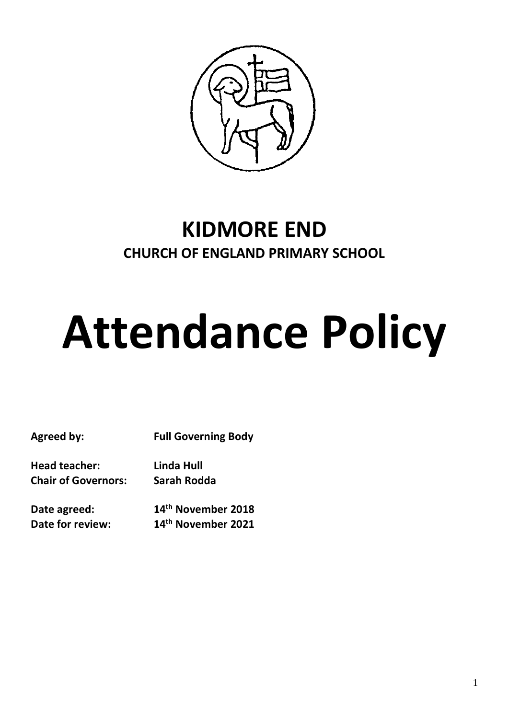

# **KIDMORE END CHURCH OF ENGLAND PRIMARY SCHOOL**

# **Attendance Policy**

**Agreed by: Full Governing Body**

**Head teacher: Linda Hull Chair of Governors: Sarah Rodda**

**Date agreed: 14th November 2018 Date for review: 14th November 2021**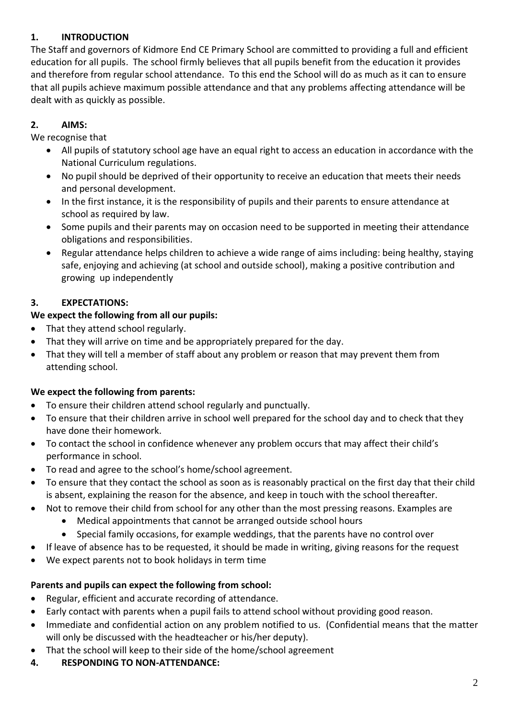# **1. INTRODUCTION**

The Staff and governors of Kidmore End CE Primary School are committed to providing a full and efficient education for all pupils. The school firmly believes that all pupils benefit from the education it provides and therefore from regular school attendance. To this end the School will do as much as it can to ensure that all pupils achieve maximum possible attendance and that any problems affecting attendance will be dealt with as quickly as possible.

# **2. AIMS:**

We recognise that

- All pupils of statutory school age have an equal right to access an education in accordance with the National Curriculum regulations.
- No pupil should be deprived of their opportunity to receive an education that meets their needs and personal development.
- In the first instance, it is the responsibility of pupils and their parents to ensure attendance at school as required by law.
- Some pupils and their parents may on occasion need to be supported in meeting their attendance obligations and responsibilities.
- Regular attendance helps children to achieve a wide range of aims including: being healthy, staying safe, enjoying and achieving (at school and outside school), making a positive contribution and growing up independently

# **3. EXPECTATIONS:**

# **We expect the following from all our pupils:**

- That they attend school regularly.
- That they will arrive on time and be appropriately prepared for the day.
- That they will tell a member of staff about any problem or reason that may prevent them from attending school.

# **We expect the following from parents:**

- To ensure their children attend school regularly and punctually.
- To ensure that their children arrive in school well prepared for the school day and to check that they have done their homework.
- To contact the school in confidence whenever any problem occurs that may affect their child's performance in school.
- To read and agree to the school's home/school agreement.
- To ensure that they contact the school as soon as is reasonably practical on the first day that their child is absent, explaining the reason for the absence, and keep in touch with the school thereafter.
- Not to remove their child from school for any other than the most pressing reasons. Examples are
	- Medical appointments that cannot be arranged outside school hours
	- Special family occasions, for example weddings, that the parents have no control over
- If leave of absence has to be requested, it should be made in writing, giving reasons for the request
- We expect parents not to book holidays in term time

# **Parents and pupils can expect the following from school:**

- Regular, efficient and accurate recording of attendance.
- Early contact with parents when a pupil fails to attend school without providing good reason.
- Immediate and confidential action on any problem notified to us. (Confidential means that the matter will only be discussed with the headteacher or his/her deputy).
- That the school will keep to their side of the home/school agreement
- **4. RESPONDING TO NON-ATTENDANCE:**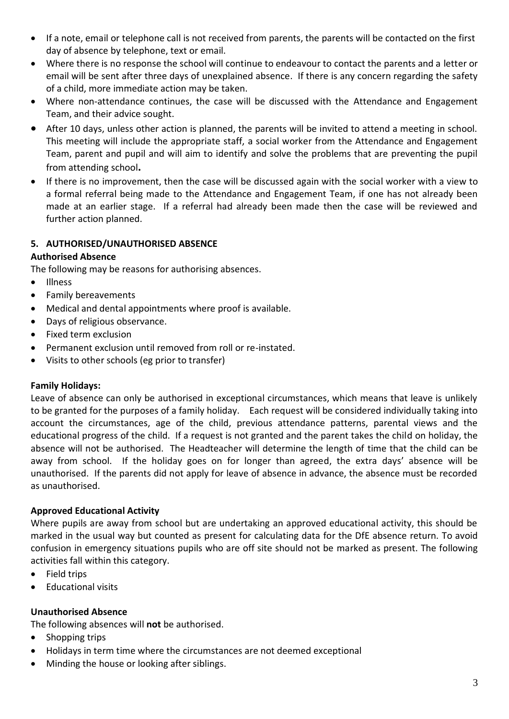- If a note, email or telephone call is not received from parents, the parents will be contacted on the first day of absence by telephone, text or email.
- Where there is no response the school will continue to endeavour to contact the parents and a letter or email will be sent after three days of unexplained absence. If there is any concern regarding the safety of a child, more immediate action may be taken.
- Where non-attendance continues, the case will be discussed with the Attendance and Engagement Team, and their advice sought.
- After 10 days, unless other action is planned, the parents will be invited to attend a meeting in school. This meeting will include the appropriate staff, a social worker from the Attendance and Engagement Team, parent and pupil and will aim to identify and solve the problems that are preventing the pupil from attending school**.**
- If there is no improvement, then the case will be discussed again with the social worker with a view to a formal referral being made to the Attendance and Engagement Team, if one has not already been made at an earlier stage. If a referral had already been made then the case will be reviewed and further action planned.

# **5. AUTHORISED/UNAUTHORISED ABSENCE**

#### **Authorised Absence**

The following may be reasons for authorising absences.

- Illness
- Family bereavements
- Medical and dental appointments where proof is available.
- Days of religious observance.
- Fixed term exclusion
- Permanent exclusion until removed from roll or re-instated.
- Visits to other schools (eg prior to transfer)

#### **Family Holidays:**

Leave of absence can only be authorised in exceptional circumstances, which means that leave is unlikely to be granted for the purposes of a family holiday. Each request will be considered individually taking into account the circumstances, age of the child, previous attendance patterns, parental views and the educational progress of the child. If a request is not granted and the parent takes the child on holiday, the absence will not be authorised. The Headteacher will determine the length of time that the child can be away from school. If the holiday goes on for longer than agreed, the extra days' absence will be unauthorised. If the parents did not apply for leave of absence in advance, the absence must be recorded as unauthorised.

#### **Approved Educational Activity**

Where pupils are away from school but are undertaking an approved educational activity, this should be marked in the usual way but counted as present for calculating data for the DfE absence return. To avoid confusion in emergency situations pupils who are off site should not be marked as present. The following activities fall within this category.

- Field trips
- Educational visits

#### **Unauthorised Absence**

The following absences will **not** be authorised.

- Shopping trips
- Holidays in term time where the circumstances are not deemed exceptional
- Minding the house or looking after siblings.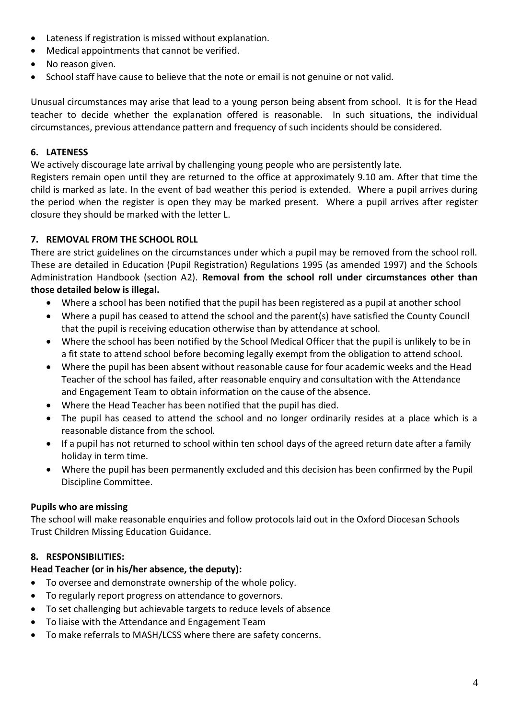- Lateness if registration is missed without explanation.
- Medical appointments that cannot be verified.
- No reason given.
- School staff have cause to believe that the note or email is not genuine or not valid.

Unusual circumstances may arise that lead to a young person being absent from school. It is for the Head teacher to decide whether the explanation offered is reasonable. In such situations, the individual circumstances, previous attendance pattern and frequency of such incidents should be considered.

#### **6. LATENESS**

We actively discourage late arrival by challenging young people who are persistently late.

Registers remain open until they are returned to the office at approximately 9.10 am. After that time the child is marked as late. In the event of bad weather this period is extended. Where a pupil arrives during the period when the register is open they may be marked present. Where a pupil arrives after register closure they should be marked with the letter L.

# **7. REMOVAL FROM THE SCHOOL ROLL**

There are strict guidelines on the circumstances under which a pupil may be removed from the school roll. These are detailed in Education (Pupil Registration) Regulations 1995 (as amended 1997) and the Schools Administration Handbook (section A2). **Removal from the school roll under circumstances other than those detailed below is illegal.**

- Where a school has been notified that the pupil has been registered as a pupil at another school
- Where a pupil has ceased to attend the school and the parent(s) have satisfied the County Council that the pupil is receiving education otherwise than by attendance at school.
- Where the school has been notified by the School Medical Officer that the pupil is unlikely to be in a fit state to attend school before becoming legally exempt from the obligation to attend school.
- Where the pupil has been absent without reasonable cause for four academic weeks and the Head Teacher of the school has failed, after reasonable enquiry and consultation with the Attendance and Engagement Team to obtain information on the cause of the absence.
- Where the Head Teacher has been notified that the pupil has died.
- The pupil has ceased to attend the school and no longer ordinarily resides at a place which is a reasonable distance from the school.
- If a pupil has not returned to school within ten school days of the agreed return date after a family holiday in term time.
- Where the pupil has been permanently excluded and this decision has been confirmed by the Pupil Discipline Committee.

#### **Pupils who are missing**

The school will make reasonable enquiries and follow protocols laid out in the Oxford Diocesan Schools Trust Children Missing Education Guidance.

# **8. RESPONSIBILITIES:**

#### **Head Teacher (or in his/her absence, the deputy):**

- To oversee and demonstrate ownership of the whole policy.
- To regularly report progress on attendance to governors.
- To set challenging but achievable targets to reduce levels of absence
- To liaise with the Attendance and Engagement Team
- To make referrals to MASH/LCSS where there are safety concerns.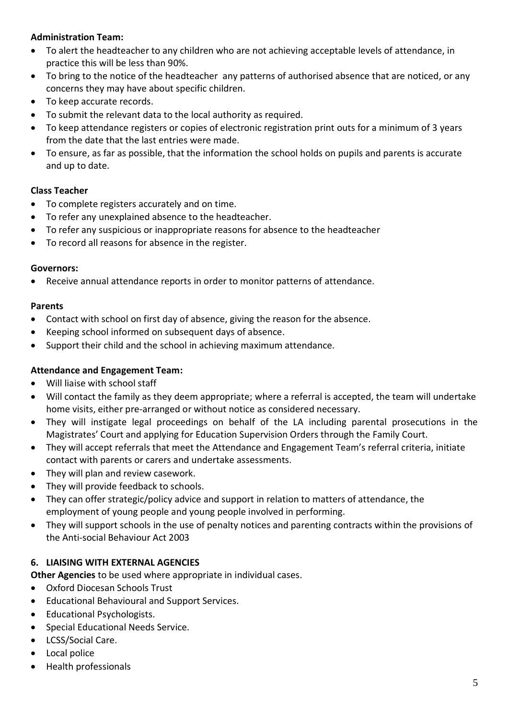# **Administration Team:**

- To alert the headteacher to any children who are not achieving acceptable levels of attendance, in practice this will be less than 90%.
- To bring to the notice of the headteacher any patterns of authorised absence that are noticed, or any concerns they may have about specific children.
- To keep accurate records.
- To submit the relevant data to the local authority as required.
- To keep attendance registers or copies of electronic registration print outs for a minimum of 3 years from the date that the last entries were made.
- To ensure, as far as possible, that the information the school holds on pupils and parents is accurate and up to date.

# **Class Teacher**

- To complete registers accurately and on time.
- To refer any unexplained absence to the headteacher.
- To refer any suspicious or inappropriate reasons for absence to the headteacher
- To record all reasons for absence in the register.

#### **Governors:**

Receive annual attendance reports in order to monitor patterns of attendance.

#### **Parents**

- Contact with school on first day of absence, giving the reason for the absence.
- Keeping school informed on subsequent days of absence.
- Support their child and the school in achieving maximum attendance.

#### **Attendance and Engagement Team:**

- Will liaise with school staff
- Will contact the family as they deem appropriate; where a referral is accepted, the team will undertake home visits, either pre-arranged or without notice as considered necessary.
- They will instigate legal proceedings on behalf of the LA including parental prosecutions in the Magistrates' Court and applying for Education Supervision Orders through the Family Court.
- They will accept referrals that meet the Attendance and Engagement Team's referral criteria, initiate contact with parents or carers and undertake assessments.
- They will plan and review casework.
- They will provide feedback to schools.
- They can offer strategic/policy advice and support in relation to matters of attendance, the employment of young people and young people involved in performing.
- They will support schools in the use of penalty notices and parenting contracts within the provisions of the Anti-social Behaviour Act 2003

# **6. LIAISING WITH EXTERNAL AGENCIES**

**Other Agencies** to be used where appropriate in individual cases.

- Oxford Diocesan Schools Trust
- Educational Behavioural and Support Services.
- Educational Psychologists.
- Special Educational Needs Service.
- LCSS/Social Care.
- Local police
- Health professionals